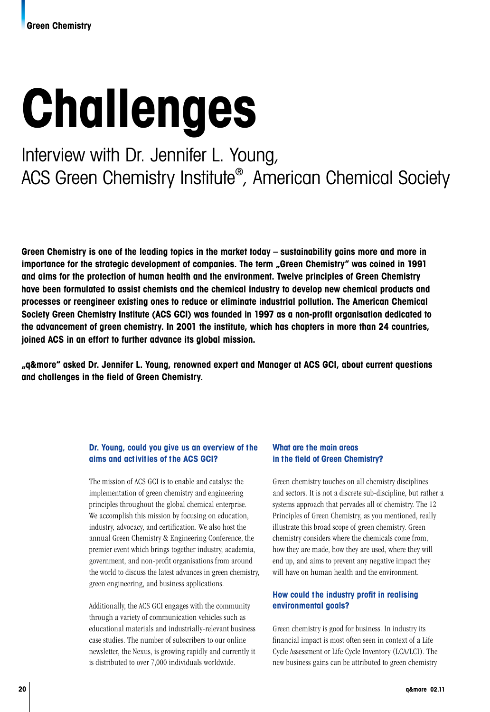# **Challenges**

## Interview with Dr. Jennifer L. Young, ACS Green Chemistry Institute® , American Chemical Society

**Green Chemistry is one of the leading topics in the market today – sustainability gains more and more in importance for the strategic development of companies. The term "Green Chemistry" was coined in 1991 and aims for the protection of human health and the environment. Twelve principles of Green Chemistry have been formulated to assist chemists and the chemical industry to develop new chemical products and processes or reengineer existing ones to reduce or eliminate industrial pollution. The American Chemical Society Green Chemistry Institute (ACS GCI) was founded in 1997 as a non-profit organisation dedicated to the advancement of green chemistry. In 2001 the institute, which has chapters in more than 24 countries, joined ACS in an effort to further advance its global mission.** 

**"q&more" asked Dr. Jennifer L. Young, renowned expert and Manager at ACS GCI, about current questions and challenges in the field of Green Chemistry.**

#### **Dr. Young, could you give us an overview of the aims and activities of the ACS GCI?**

The mission of ACS GCI is to enable and catalyse the implementation of green chemistry and engineering principles throughout the global chemical enterprise. We accomplish this mission by focusing on education, industry, advocacy, and certification. We also host the annual Green Chemistry & Engineering Conference, the premier event which brings together industry, academia, government, and non-profit organisations from around the world to discuss the latest advances in green chemistry, green engineering, and business applications.

Additionally, the ACS GCI engages with the community through a variety of communication vehicles such as educational materials and industrially-relevant business case studies. The number of subscribers to our online newsletter, the Nexus, is growing rapidly and currently it is distributed to over 7,000 individuals worldwide.

#### **What are the main areas in the field of Green Chemistry?**

Green chemistry touches on all chemistry disciplines and sectors. It is not a discrete sub-discipline, but rather a systems approach that pervades all of chemistry. The 12 Principles of Green Chemistry, as you mentioned, really illustrate this broad scope of green chemistry. Green chemistry considers where the chemicals come from, how they are made, how they are used, where they will end up, and aims to prevent any negative impact they will have on human health and the environment.

### **How could the industry profit in realising environmental goals?**

Green chemistry is good for business. In industry its financial impact is most often seen in context of a Life Cycle Assessment or Life Cycle Inventory (LCA/LCI). The new business gains can be attributed to green chemistry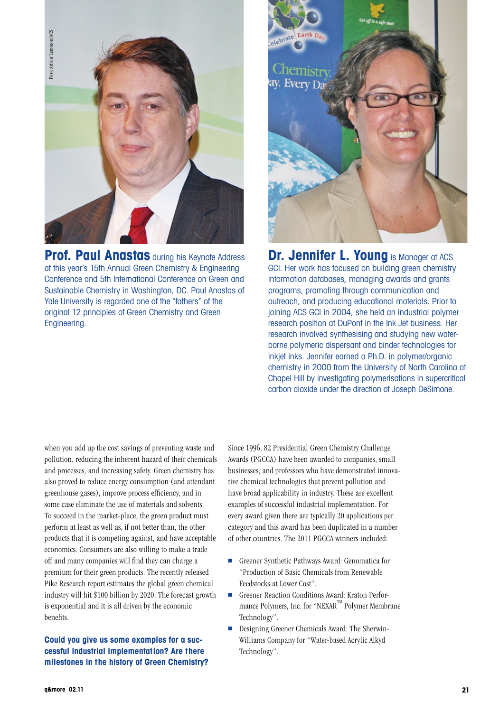

**Prof. Paul Anastas** during his Keynote Address at this year's 15th Annual Green Chemistry & Engineering Conference and 5th International Conference on Green and Sustainable Chemistry in Washington, DC. Paul Anastas of Yale University is regarded one of the "fathers" of the original 12 principles of Green Chemistry and Green Engineering.



**Dr. Jennifer L. Young** is Manager at ACS GCI. Her work has focused on building green chemistry information databases, managing awards and grants programs, promoting through communication and outreach, and producing educational materials. Prior to joining ACS GCI in 2004, she held an industrial polymer research position at DuPont in the Ink Jet business. Her research involved synthesising and studying new waterborne polymeric dispersant and binder technologies for inkjet inks. Jennifer earned a Ph.D. in polymer/organic chemistry in 2000 from the University of North Carolina at Chapel Hill by investigating polymerisations in supercritical carbon dioxide under the direction of Joseph DeSimone.

when you add up the cost savings of preventing waste and pollution, reducing the inherent hazard of their chemicals and processes, and increasing safety. Green chemistry has also proved to reduce energy consumption (and attendant greenhouse gases), improve process efficiency, and in some case eliminate the use of materials and solvents. To succeed in the market-place, the green product must perform at least as well as, if not better than, the other products that it is competing against, and have acceptable economics. Consumers are also willing to make a trade off and many companies will find they can charge a premium for their green products. The recently released Pike Research report estimates the global green chemical industry will hit \$100 billion by 2020. The forecast growth is exponential and it is all driven by the economic benefits.

#### **Could you give us some examples for a successful industrial implementation? Are there milestones in the history of Green Chemistry?**

Since 1996, 82 Presidential Green Chemistry Challenge Awards (PGCCA) have been awarded to companies, small businesses, and professors who have demonstrated innovative chemical technologies that prevent pollution and have broad applicability in industry. These are excellent examples of successful industrial implementation. For every award given there are typically 20 applications per category and this award has been duplicated in a number of other countries. The 2011 PGCCA winners included:

- Greener Synthetic Pathways Award: Genomatica for "Production of Basic Chemicals from Renewable Feedstocks at Lower Cost".
- Greener Reaction Conditions Award: Kraton Performance Polymers, Inc. for "NEXAR<sup>™</sup> Polymer Membrane Technology".
- Designing Greener Chemicals Award: The Sherwin-Williams Company for "Water-based Acrylic Alkyd Technology".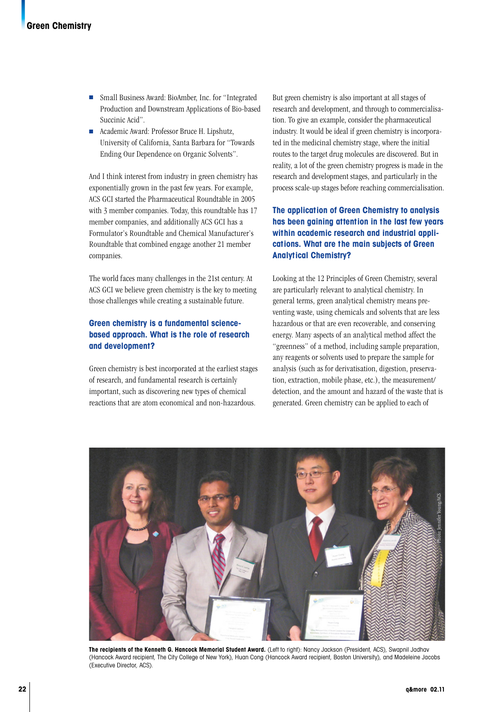- Small Business Award: BioAmber, Inc. for "Integrated" Production and Downstream Applications of Bio-based Succinic Acid".
- Academic Award: Professor Bruce H. Lipshutz, University of California, Santa Barbara for "Towards Ending Our Dependence on Organic Solvents".

And I think interest from industry in green chemistry has exponentially grown in the past few years. For example, ACS GCI started the Pharmaceutical Roundtable in 2005 with 3 member companies. Today, this roundtable has 17 member companies, and additionally ACS GCI has a Formulator's Roundtable and Chemical Manufacturer's Roundtable that combined engage another 21 member companies.

The world faces many challenges in the 21st century. At ACS GCI we believe green chemistry is the key to meeting those challenges while creating a sustainable future.

#### **Green chemistry is a fundamental sciencebased approach. What is the role of research and development?**

Green chemistry is best incorporated at the earliest stages of research, and fundamental research is certainly important, such as discovering new types of chemical reactions that are atom economical and non-hazardous.

But green chemistry is also important at all stages of research and development, and through to commercialisation. To give an example, consider the pharmaceutical industry. It would be ideal if green chemistry is incorporated in the medicinal chemistry stage, where the initial routes to the target drug molecules are discovered. But in reality, a lot of the green chemistry progress is made in the research and development stages, and particularly in the process scale-up stages before reaching commercialisation.

#### **The application of Green Chemistry to analysis has been gaining attention in the last few years within academic research and industrial applications. What are the main subjects of Green Analytical Chemistry?**

Looking at the 12 Principles of Green Chemistry, several are particularly relevant to analytical chemistry. In general terms, green analytical chemistry means preventing waste, using chemicals and solvents that are less hazardous or that are even recoverable, and conserving energy. Many aspects of an analytical method affect the "greenness" of a method, including sample preparation, any reagents or solvents used to prepare the sample for analysis (such as for derivatisation, digestion, preservation, extraction, mobile phase, etc.), the measurement/ detection, and the amount and hazard of the waste that is generated. Green chemistry can be applied to each of



**The recipients of the Kenneth G. Hancock Memorial Student Award.** (Left to right): Nancy Jackson (President, ACS), Swapnil Jadhav (Hancock Award recipient, The City College of New York), Huan Cong (Hancock Award recipient, Boston University), and Madeleine Jacobs (Executive Director, ACS).